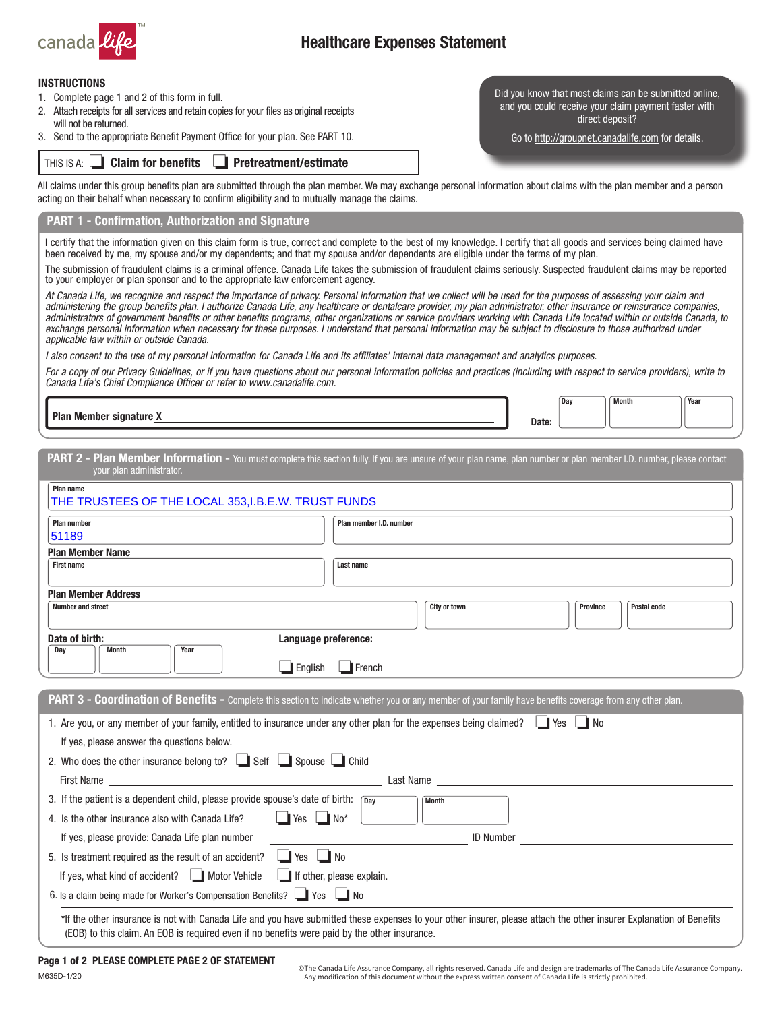

# Healthcare Expenses Statement

#### INSTRUCTIONS

- 1. Complete page 1 and 2 of this form in full.
- 2. Attach receipts for all services and retain copies for your files as original receipts will not be returned.
- THIS IS A: **Claim for benefits Pretreatment/estimate** 3. Send to the appropriate Benefit Payment Office for your plan. See PART 10.

Did you know that most claims can be submitted online, and you could receive your claim payment faster with direct deposit?

Go to <http://groupnet.canadalife.com>for details.

All claims under this group benefits plan are submitted through the plan member. We may exchange personal information about claims with the plan member and a person acting on their behalf when necessary to confirm eligibility and to mutually manage the claims.

### PART 1 - Confirmation, Authorization and Signature

I certify that the information given on this claim form is true, correct and complete to the best of my knowledge. I certify that all goods and services being claimed have been received by me, my spouse and/or my dependents; and that my spouse and/or dependents are eligible under the terms of my plan.

The submission of fraudulent claims is a criminal offence. Canada Life takes the submission of fraudulent claims seriously. Suspected fraudulent claims may be reported to your employer or plan sponsor and to the appropriate law enforcement agency.

*At Canada Life, we recognize and respect the importance of privacy. Personal information that we collect will be used for the purposes of assessing your claim and administering the group benefits plan. I authorize Canada Life, any healthcare or dentalcare provider, my plan administrator, other insurance or reinsurance companies, administrators of government benefits or other benefits programs, other organizations or service providers working with Canada Life located within or outside Canada, to*  exchange personal information when necessary for these purposes. I understand that personal information may be subject to disclosure to those authorized under *applicable law within or outside Canada.*

*I also consent to the use of my personal information for Canada Life and its affiliates' internal data management and analytics purposes.*

*For a copy of our Privacy Guidelines, or if you have questions about our personal information policies and practices (including with respect to service providers), write to Canada Life's Chief Compliance Officer or refer to [www.canadalife.com](http://www.canadalife.com).*

Plan Member signature X and the context of the context of the context of the context of the context of the context of the context of the context of the context of the context of the context of the context of the context of

Day Month Year

PART 2 - Plan Member Information - You must complete this section fully. If you are unsure of your plan name, plan number or plan member I.D. number, please contact your plan administrator.

| Plan number                                                                                                                                                                                                                                                                                                                                        | Plan member I.D. number                                                                                                                                                                                                                                                            |
|----------------------------------------------------------------------------------------------------------------------------------------------------------------------------------------------------------------------------------------------------------------------------------------------------------------------------------------------------|------------------------------------------------------------------------------------------------------------------------------------------------------------------------------------------------------------------------------------------------------------------------------------|
| 51189                                                                                                                                                                                                                                                                                                                                              |                                                                                                                                                                                                                                                                                    |
| <b>Plan Member Name</b>                                                                                                                                                                                                                                                                                                                            |                                                                                                                                                                                                                                                                                    |
| <b>First name</b>                                                                                                                                                                                                                                                                                                                                  | Last name                                                                                                                                                                                                                                                                          |
| <b>Plan Member Address</b>                                                                                                                                                                                                                                                                                                                         |                                                                                                                                                                                                                                                                                    |
| <b>Number and street</b>                                                                                                                                                                                                                                                                                                                           | City or town<br><b>Province</b><br><b>Postal code</b>                                                                                                                                                                                                                              |
| Date of birth:                                                                                                                                                                                                                                                                                                                                     | Language preference:                                                                                                                                                                                                                                                               |
| Dav<br>Month<br>Year                                                                                                                                                                                                                                                                                                                               |                                                                                                                                                                                                                                                                                    |
|                                                                                                                                                                                                                                                                                                                                                    | $\Box$ French<br>$\Box$ English                                                                                                                                                                                                                                                    |
|                                                                                                                                                                                                                                                                                                                                                    | PART 3 - Coordination of Benefits - Complete this section to indicate whether you or any member of your family have benefits coverage from any other plan.<br>1. Are you, or any member of your family, entitled to insurance under any other plan for the expenses being claimed? |
| If yes, please answer the questions below.<br>2. Who does the other insurance belong to? Self Spouse Child<br>First Name <b>Executive Service Contract Contract Contract Contract Contract Contract Contract Contract Contract Contract Contract Contract Contract Contract Contract Contract Contract Contract Contract Contract Contract Con</b> | Last Name                                                                                                                                                                                                                                                                          |
|                                                                                                                                                                                                                                                                                                                                                    | <b>Month</b>                                                                                                                                                                                                                                                                       |
|                                                                                                                                                                                                                                                                                                                                                    | $\Box$ Yes $\Box$ No*                                                                                                                                                                                                                                                              |
| 3. If the patient is a dependent child, please provide spouse's date of birth: $\sqrt{p_{av}}$<br>4. Is the other insurance also with Canada Life?<br>If yes, please provide: Canada Life plan number                                                                                                                                              | <b>ID Number</b>                                                                                                                                                                                                                                                                   |
| 5. Is treatment required as the result of an accident?                                                                                                                                                                                                                                                                                             | $\Box$ Yes $\Box$ No                                                                                                                                                                                                                                                               |
| If yes, what kind of accident?     Motor Vehicle                                                                                                                                                                                                                                                                                                   | If other, please explain.                                                                                                                                                                                                                                                          |

© The Canada Life Assurance Company, all rights reserved. Canada Life and design are trademarks of The Canada Life Assurance Company. Any modification of this document without the express written consent of Canada Life is strictly prohibited.